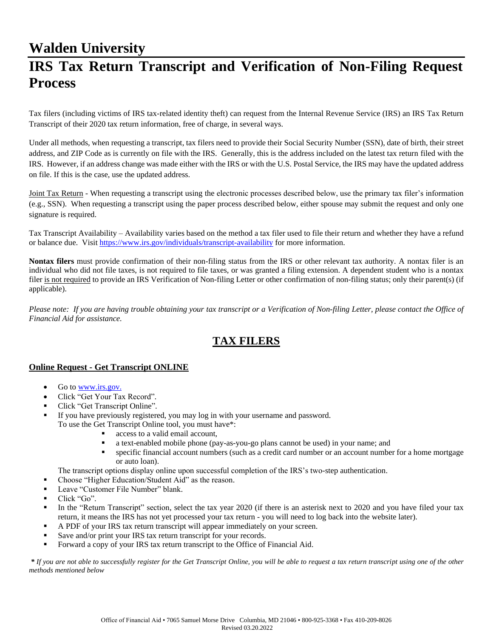## **Walden University**

# **IRS Tax Return Transcript and Verification of Non-Filing Request Process**

Tax filers (including victims of IRS tax-related identity theft) can request from the Internal Revenue Service (IRS) an IRS Tax Return Transcript of their 2020 tax return information, free of charge, in several ways.

Under all methods, when requesting a transcript, tax filers need to provide their Social Security Number (SSN), date of birth, their street address, and ZIP Code as is currently on file with the IRS. Generally, this is the address included on the latest tax return filed with the IRS. However, if an address change was made either with the IRS or with the U.S. Postal Service, the IRS may have the updated address on file. If this is the case, use the updated address.

Joint Tax Return - When requesting a transcript using the electronic processes described below, use the primary tax filer's information (e.g., SSN). When requesting a transcript using the paper process described below, either spouse may submit the request and only one signature is required.

Tax Transcript Availability – Availability varies based on the method a tax filer used to file their return and whether they have a refund or balance due. Visit <https://www.irs.gov/individuals/transcript-availability> for more information.

**Nontax filers** must provide confirmation of their non-filing status from the IRS or other relevant tax authority. A nontax filer is an individual who did not file taxes, is not required to file taxes, or was granted a filing extension. A dependent student who is a nontax filer is not required to provide an IRS Verification of Non-filing Letter or other confirmation of non-filing status; only their parent(s) (if applicable).

*Please note: If you are having trouble obtaining your tax transcript or a Verification of Non-filing Letter, please contact the Office of Financial Aid for assistance.*

## **TAX FILERS**

#### **Online Request - Get Transcript ONLINE**

- Go to [www.irs.gov.](http://www.irs.gov/)
- Click "Get Your Tax Record".
- Click "Get Transcript Online".
- If you have previously registered, you may log in with your username and password. To use the Get Transcript Online tool, you must have\*:
	- access to a valid email account,
		- a text-enabled mobile phone (pay-as-you-go plans cannot be used) in your name; and
		- specific financial account numbers (such as a credit card number or an account number for a home mortgage or auto loan).

The transcript options display online upon successful completion of the IRS's two-step authentication.

- Choose "Higher Education/Student Aid" as the reason.
- Leave "Customer File Number" blank.
- $\blacksquare$  Click "Go".
- In the "Return Transcript" section, select the tax year 2020 (if there is an asterisk next to 2020 and you have filed your tax return, it means the IRS has not yet processed your tax return - you will need to log back into the website later).
- A PDF of your IRS tax return transcript will appear immediately on your screen.
- Save and/or print your IRS tax return transcript for your records.
- **•** Forward a copy of your IRS tax return transcript to the Office of Financial Aid.

*\* If you are not able to successfully register for the Get Transcript Online, you will be able to request a tax return transcript using one of the other methods mentioned below*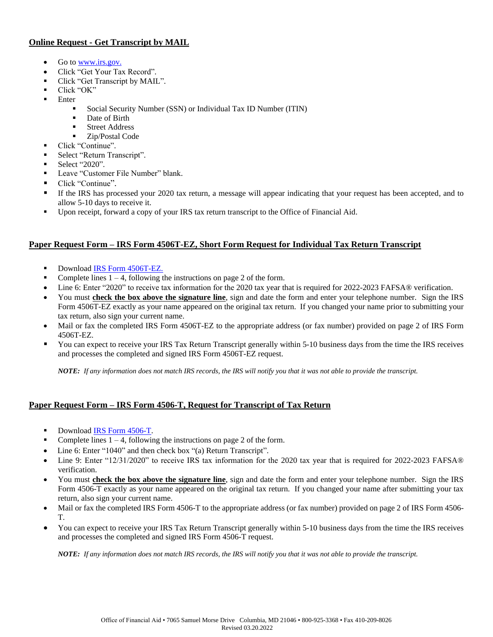#### **Online Request - Get Transcript by MAIL**

- Go to [www.irs.gov.](http://www.irs.gov/)
- Click "Get Your Tax Record".
- Click "Get Transcript by MAIL".
- Click "OK"
- **Enter** 
	- Social Security Number (SSN) or Individual Tax ID Number (ITIN)
	- Date of Birth
	- Street Address
	- Zip/Postal Code
- Click "Continue".
	- Select "Return Transcript".
- Select "2020".
- Leave "Customer File Number" blank.
- Click "Continue".
- **•** If the IRS has processed your 2020 tax return, a message will appear indicating that your request has been accepted, and to allow 5-10 days to receive it.
- Upon receipt, forward a copy of your IRS tax return transcript to the Office of Financial Aid.

#### **Paper Request Form – IRS Form 4506T-EZ, Short Form Request for Individual Tax Return Transcript**

- Download **IRS Form 4506T-EZ.**
- Complete lines  $1 4$ , following the instructions on page 2 of the form.
- Line 6: Enter "2020" to receive tax information for the 2020 tax year that is required for 2022-2023 FAFSA® verification.
- You must **check the box above the signature line**, sign and date the form and enter your telephone number. Sign the IRS Form 4506T-EZ exactly as your name appeared on the original tax return. If you changed your name prior to submitting your tax return, also sign your current name.
- Mail or fax the completed IRS Form 4506T-EZ to the appropriate address (or fax number) provided on page 2 of IRS Form 4506T-EZ.
- You can expect to receive your IRS Tax Return Transcript generally within 5-10 business days from the time the IRS receives and processes the completed and signed IRS Form 4506T-EZ request.

*NOTE: If any information does not match IRS records, the IRS will notify you that it was not able to provide the transcript.*

#### **Paper Request Form – IRS Form 4506-T, Request for Transcript of Tax Return**

- Download [IRS Form 4506-T.](http://www.irs.gov/pub/irs-pdf/f4506t.pdf)
- Complete lines  $1 4$ , following the instructions on page 2 of the form.
- Line 6: Enter "1040" and then check box "(a) Return Transcript".
- Line 9: Enter "12/31/2020" to receive IRS tax information for the 2020 tax year that is required for 2022-2023 FAFSA® verification.
- You must **check the box above the signature line**, sign and date the form and enter your telephone number. Sign the IRS Form 4506-T exactly as your name appeared on the original tax return. If you changed your name after submitting your tax return, also sign your current name.
- Mail or fax the completed IRS Form 4506-T to the appropriate address (or fax number) provided on page 2 of IRS Form 4506- T.
- You can expect to receive your IRS Tax Return Transcript generally within 5-10 business days from the time the IRS receives and processes the completed and signed IRS Form 4506-T request.

*NOTE: If any information does not match IRS records, the IRS will notify you that it was not able to provide the transcript.*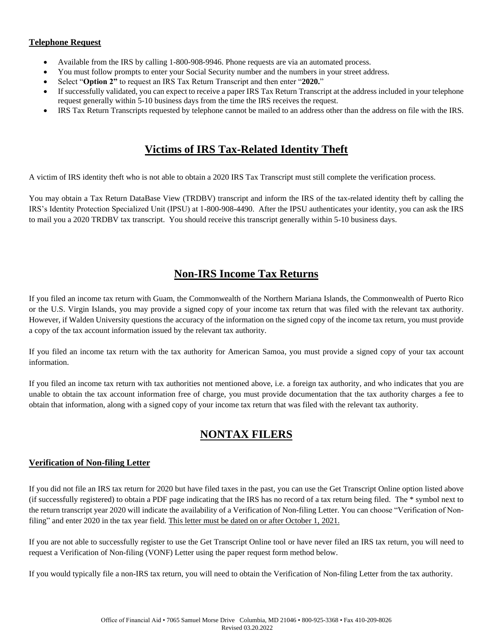#### **Telephone Request**

- Available from the IRS by calling 1-800-908-9946. Phone requests are via an automated process.
- You must follow prompts to enter your Social Security number and the numbers in your street address.
- Select "**Option 2"** to request an IRS Tax Return Transcript and then enter "**2020.**"
- If successfully validated, you can expect to receive a paper IRS Tax Return Transcript at the address included in your telephone request generally within 5-10 business days from the time the IRS receives the request.
- IRS Tax Return Transcripts requested by telephone cannot be mailed to an address other than the address on file with the IRS.

### **Victims of IRS Tax-Related Identity Theft**

A victim of IRS identity theft who is not able to obtain a 2020 IRS Tax Transcript must still complete the verification process.

You may obtain a Tax Return DataBase View (TRDBV) transcript and inform the IRS of the tax-related identity theft by calling the IRS's Identity Protection Specialized Unit (IPSU) at 1-800-908-4490. After the IPSU authenticates your identity, you can ask the IRS to mail you a 2020 TRDBV tax transcript. You should receive this transcript generally within 5-10 business days.

## **Non-IRS Income Tax Returns**

If you filed an income tax return with Guam, the Commonwealth of the Northern Mariana Islands, the Commonwealth of Puerto Rico or the U.S. Virgin Islands, you may provide a signed copy of your income tax return that was filed with the relevant tax authority. However, if Walden University questions the accuracy of the information on the signed copy of the income tax return, you must provide a copy of the tax account information issued by the relevant tax authority.

If you filed an income tax return with the tax authority for American Samoa, you must provide a signed copy of your tax account information.

If you filed an income tax return with tax authorities not mentioned above, i.e. a foreign tax authority, and who indicates that you are unable to obtain the tax account information free of charge, you must provide documentation that the tax authority charges a fee to obtain that information, along with a signed copy of your income tax return that was filed with the relevant tax authority.

## **NONTAX FILERS**

#### **Verification of Non-filing Letter**

If you did not file an IRS tax return for 2020 but have filed taxes in the past, you can use the Get Transcript Online option listed above (if successfully registered) to obtain a PDF page indicating that the IRS has no record of a tax return being filed. The \* symbol next to the return transcript year 2020 will indicate the availability of a Verification of Non-filing Letter. You can choose "Verification of Nonfiling" and enter 2020 in the tax year field. This letter must be dated on or after October 1, 2021.

If you are not able to successfully register to use the Get Transcript Online tool or have never filed an IRS tax return, you will need to request a Verification of Non-filing (VONF) Letter using the paper request form method below.

If you would typically file a non-IRS tax return, you will need to obtain the Verification of Non-filing Letter from the tax authority.